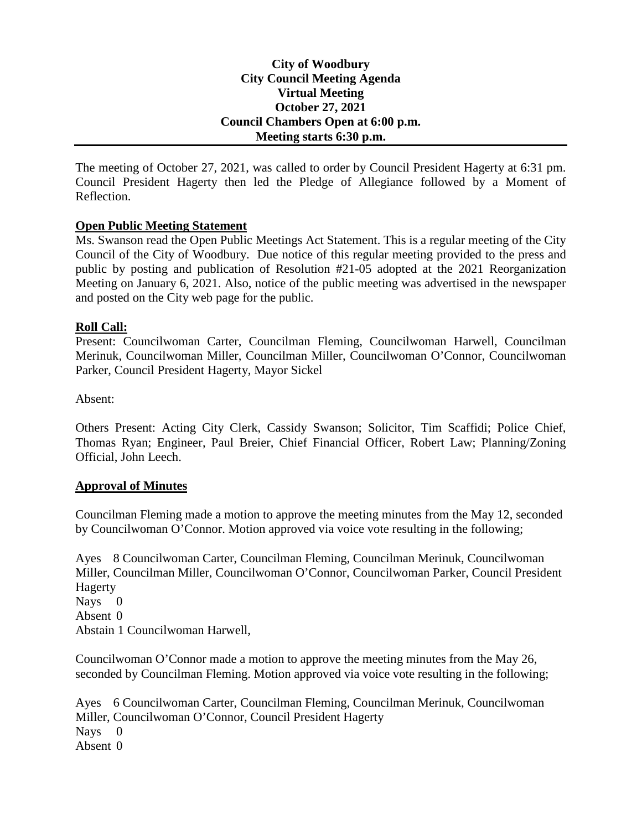## **City of Woodbury City Council Meeting Agenda Virtual Meeting October 27, 2021 Council Chambers Open at 6:00 p.m. Meeting starts 6:30 p.m.**

The meeting of October 27, 2021, was called to order by Council President Hagerty at 6:31 pm. Council President Hagerty then led the Pledge of Allegiance followed by a Moment of Reflection.

## **Open Public Meeting Statement**

Ms. Swanson read the Open Public Meetings Act Statement. This is a regular meeting of the City Council of the City of Woodbury. Due notice of this regular meeting provided to the press and public by posting and publication of Resolution #21-05 adopted at the 2021 Reorganization Meeting on January 6, 2021. Also, notice of the public meeting was advertised in the newspaper and posted on the City web page for the public.

#### **Roll Call:**

Present: Councilwoman Carter, Councilman Fleming, Councilwoman Harwell, Councilman Merinuk, Councilwoman Miller, Councilman Miller, Councilwoman O'Connor, Councilwoman Parker, Council President Hagerty, Mayor Sickel

Absent:

Others Present: Acting City Clerk, Cassidy Swanson; Solicitor, Tim Scaffidi; Police Chief, Thomas Ryan; Engineer, Paul Breier, Chief Financial Officer, Robert Law; Planning/Zoning Official, John Leech.

#### **Approval of Minutes**

Councilman Fleming made a motion to approve the meeting minutes from the May 12, seconded by Councilwoman O'Connor. Motion approved via voice vote resulting in the following;

Ayes 8 Councilwoman Carter, Councilman Fleming, Councilman Merinuk, Councilwoman Miller, Councilman Miller, Councilwoman O'Connor, Councilwoman Parker, Council President Hagerty Nays 0 Absent 0

Abstain 1 Councilwoman Harwell,

Councilwoman O'Connor made a motion to approve the meeting minutes from the May 26, seconded by Councilman Fleming. Motion approved via voice vote resulting in the following;

Ayes 6 Councilwoman Carter, Councilman Fleming, Councilman Merinuk, Councilwoman Miller, Councilwoman O'Connor, Council President Hagerty Nays 0 Absent 0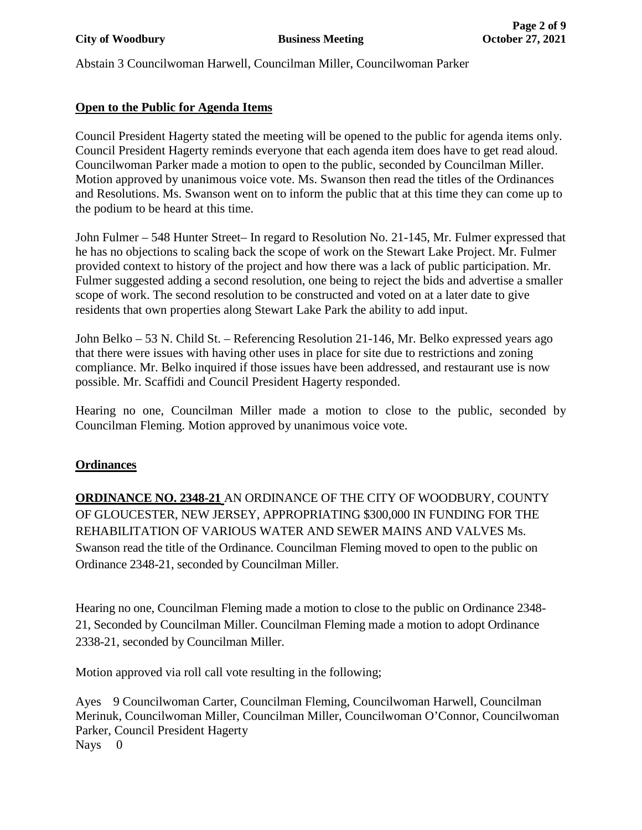Abstain 3 Councilwoman Harwell, Councilman Miller, Councilwoman Parker

# **Open to the Public for Agenda Items**

Council President Hagerty stated the meeting will be opened to the public for agenda items only. Council President Hagerty reminds everyone that each agenda item does have to get read aloud. Councilwoman Parker made a motion to open to the public, seconded by Councilman Miller. Motion approved by unanimous voice vote. Ms. Swanson then read the titles of the Ordinances and Resolutions. Ms. Swanson went on to inform the public that at this time they can come up to the podium to be heard at this time.

John Fulmer – 548 Hunter Street– In regard to Resolution No. 21-145, Mr. Fulmer expressed that he has no objections to scaling back the scope of work on the Stewart Lake Project. Mr. Fulmer provided context to history of the project and how there was a lack of public participation. Mr. Fulmer suggested adding a second resolution, one being to reject the bids and advertise a smaller scope of work. The second resolution to be constructed and voted on at a later date to give residents that own properties along Stewart Lake Park the ability to add input.

John Belko – 53 N. Child St. – Referencing Resolution 21-146, Mr. Belko expressed years ago that there were issues with having other uses in place for site due to restrictions and zoning compliance. Mr. Belko inquired if those issues have been addressed, and restaurant use is now possible. Mr. Scaffidi and Council President Hagerty responded.

Hearing no one, Councilman Miller made a motion to close to the public, seconded by Councilman Fleming. Motion approved by unanimous voice vote.

## **Ordinances**

**ORDINANCE NO. 2348-21** AN ORDINANCE OF THE CITY OF WOODBURY, COUNTY OF GLOUCESTER, NEW JERSEY, APPROPRIATING \$300,000 IN FUNDING FOR THE REHABILITATION OF VARIOUS WATER AND SEWER MAINS AND VALVES Ms. Swanson read the title of the Ordinance. Councilman Fleming moved to open to the public on Ordinance 2348-21, seconded by Councilman Miller.

Hearing no one, Councilman Fleming made a motion to close to the public on Ordinance 2348- 21, Seconded by Councilman Miller. Councilman Fleming made a motion to adopt Ordinance 2338-21, seconded by Councilman Miller.

Motion approved via roll call vote resulting in the following;

Ayes 9 Councilwoman Carter, Councilman Fleming, Councilwoman Harwell, Councilman Merinuk, Councilwoman Miller, Councilman Miller, Councilwoman O'Connor, Councilwoman Parker, Council President Hagerty Nays 0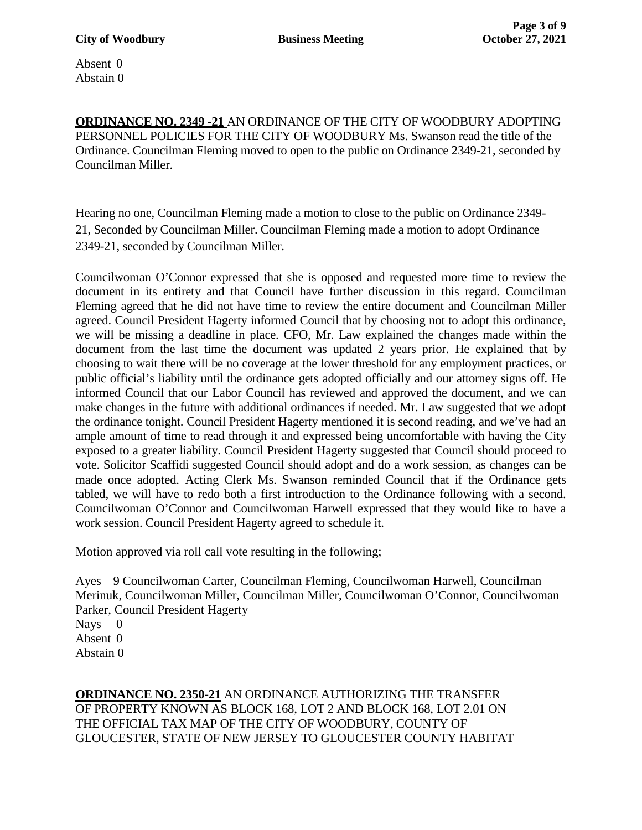Absent 0 Abstain 0

**ORDINANCE NO. 2349 -21** AN ORDINANCE OF THE CITY OF WOODBURY ADOPTING PERSONNEL POLICIES FOR THE CITY OF WOODBURY Ms. Swanson read the title of the Ordinance. Councilman Fleming moved to open to the public on Ordinance 2349-21, seconded by Councilman Miller.

Hearing no one, Councilman Fleming made a motion to close to the public on Ordinance 2349- 21, Seconded by Councilman Miller. Councilman Fleming made a motion to adopt Ordinance 2349-21, seconded by Councilman Miller.

Councilwoman O'Connor expressed that she is opposed and requested more time to review the document in its entirety and that Council have further discussion in this regard. Councilman Fleming agreed that he did not have time to review the entire document and Councilman Miller agreed. Council President Hagerty informed Council that by choosing not to adopt this ordinance, we will be missing a deadline in place. CFO, Mr. Law explained the changes made within the document from the last time the document was updated 2 years prior. He explained that by choosing to wait there will be no coverage at the lower threshold for any employment practices, or public official's liability until the ordinance gets adopted officially and our attorney signs off. He informed Council that our Labor Council has reviewed and approved the document, and we can make changes in the future with additional ordinances if needed. Mr. Law suggested that we adopt the ordinance tonight. Council President Hagerty mentioned it is second reading, and we've had an ample amount of time to read through it and expressed being uncomfortable with having the City exposed to a greater liability. Council President Hagerty suggested that Council should proceed to vote. Solicitor Scaffidi suggested Council should adopt and do a work session, as changes can be made once adopted. Acting Clerk Ms. Swanson reminded Council that if the Ordinance gets tabled, we will have to redo both a first introduction to the Ordinance following with a second. Councilwoman O'Connor and Councilwoman Harwell expressed that they would like to have a work session. Council President Hagerty agreed to schedule it.

Motion approved via roll call vote resulting in the following;

Ayes 9 Councilwoman Carter, Councilman Fleming, Councilwoman Harwell, Councilman Merinuk, Councilwoman Miller, Councilman Miller, Councilwoman O'Connor, Councilwoman Parker, Council President Hagerty Nays 0 Absent 0 Abstain 0

**ORDINANCE NO. 2350-21** AN ORDINANCE AUTHORIZING THE TRANSFER OF PROPERTY KNOWN AS BLOCK 168, LOT 2 AND BLOCK 168, LOT 2.01 ON THE OFFICIAL TAX MAP OF THE CITY OF WOODBURY, COUNTY OF GLOUCESTER, STATE OF NEW JERSEY TO GLOUCESTER COUNTY HABITAT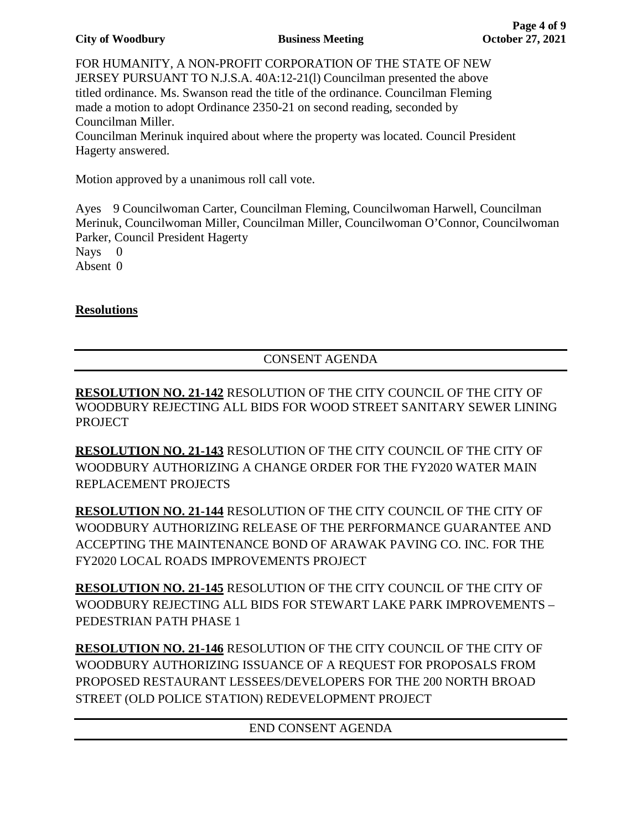#### **City of Woodbury Business Meeting October 27, 2021**

FOR HUMANITY, A NON-PROFIT CORPORATION OF THE STATE OF NEW JERSEY PURSUANT TO N.J.S.A. 40A:12-21(l) Councilman presented the above titled ordinance. Ms. Swanson read the title of the ordinance. Councilman Fleming made a motion to adopt Ordinance 2350-21 on second reading, seconded by Councilman Miller.

Councilman Merinuk inquired about where the property was located. Council President Hagerty answered.

Motion approved by a unanimous roll call vote.

Ayes 9 Councilwoman Carter, Councilman Fleming, Councilwoman Harwell, Councilman Merinuk, Councilwoman Miller, Councilman Miller, Councilwoman O'Connor, Councilwoman Parker, Council President Hagerty

Nays 0

Absent 0

# **Resolutions**

# CONSENT AGENDA

**RESOLUTION NO. 21-142** RESOLUTION OF THE CITY COUNCIL OF THE CITY OF WOODBURY REJECTING ALL BIDS FOR WOOD STREET SANITARY SEWER LINING PROJECT

**RESOLUTION NO. 21-143** RESOLUTION OF THE CITY COUNCIL OF THE CITY OF WOODBURY AUTHORIZING A CHANGE ORDER FOR THE FY2020 WATER MAIN REPLACEMENT PROJECTS

**RESOLUTION NO. 21-144** RESOLUTION OF THE CITY COUNCIL OF THE CITY OF WOODBURY AUTHORIZING RELEASE OF THE PERFORMANCE GUARANTEE AND ACCEPTING THE MAINTENANCE BOND OF ARAWAK PAVING CO. INC. FOR THE FY2020 LOCAL ROADS IMPROVEMENTS PROJECT

**RESOLUTION NO. 21-145** RESOLUTION OF THE CITY COUNCIL OF THE CITY OF WOODBURY REJECTING ALL BIDS FOR STEWART LAKE PARK IMPROVEMENTS – PEDESTRIAN PATH PHASE 1

**RESOLUTION NO. 21-146** RESOLUTION OF THE CITY COUNCIL OF THE CITY OF WOODBURY AUTHORIZING ISSUANCE OF A REQUEST FOR PROPOSALS FROM PROPOSED RESTAURANT LESSEES/DEVELOPERS FOR THE 200 NORTH BROAD STREET (OLD POLICE STATION) REDEVELOPMENT PROJECT

## END CONSENT AGENDA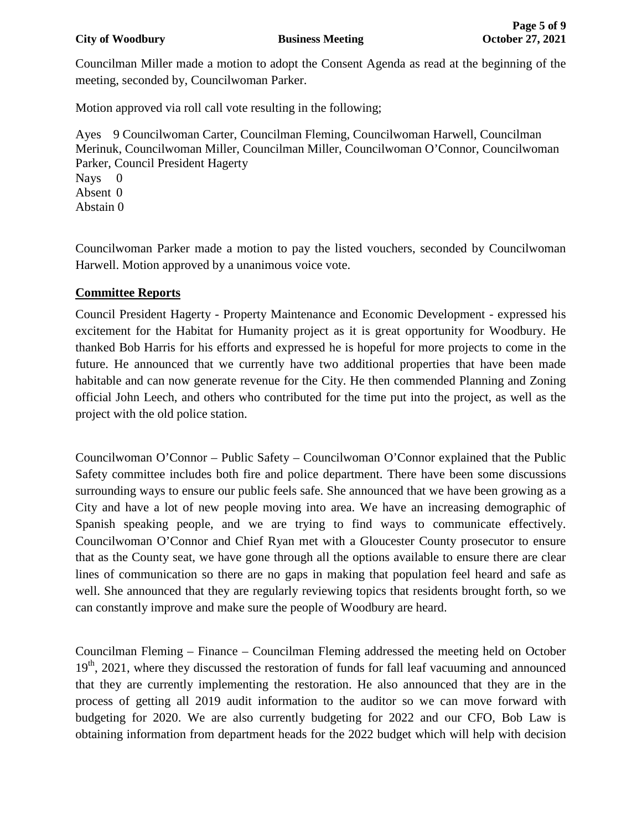Councilman Miller made a motion to adopt the Consent Agenda as read at the beginning of the meeting, seconded by, Councilwoman Parker.

Motion approved via roll call vote resulting in the following;

Ayes 9 Councilwoman Carter, Councilman Fleming, Councilwoman Harwell, Councilman Merinuk, Councilwoman Miller, Councilman Miller, Councilwoman O'Connor, Councilwoman Parker, Council President Hagerty

Nays 0

Absent 0 Abstain 0

Councilwoman Parker made a motion to pay the listed vouchers, seconded by Councilwoman Harwell. Motion approved by a unanimous voice vote.

# **Committee Reports**

Council President Hagerty - Property Maintenance and Economic Development - expressed his excitement for the Habitat for Humanity project as it is great opportunity for Woodbury. He thanked Bob Harris for his efforts and expressed he is hopeful for more projects to come in the future. He announced that we currently have two additional properties that have been made habitable and can now generate revenue for the City. He then commended Planning and Zoning official John Leech, and others who contributed for the time put into the project, as well as the project with the old police station.

Councilwoman O'Connor – Public Safety – Councilwoman O'Connor explained that the Public Safety committee includes both fire and police department. There have been some discussions surrounding ways to ensure our public feels safe. She announced that we have been growing as a City and have a lot of new people moving into area. We have an increasing demographic of Spanish speaking people, and we are trying to find ways to communicate effectively. Councilwoman O'Connor and Chief Ryan met with a Gloucester County prosecutor to ensure that as the County seat, we have gone through all the options available to ensure there are clear lines of communication so there are no gaps in making that population feel heard and safe as well. She announced that they are regularly reviewing topics that residents brought forth, so we can constantly improve and make sure the people of Woodbury are heard.

Councilman Fleming – Finance – Councilman Fleming addressed the meeting held on October 19<sup>th</sup>, 2021, where they discussed the restoration of funds for fall leaf vacuuming and announced that they are currently implementing the restoration. He also announced that they are in the process of getting all 2019 audit information to the auditor so we can move forward with budgeting for 2020. We are also currently budgeting for 2022 and our CFO, Bob Law is obtaining information from department heads for the 2022 budget which will help with decision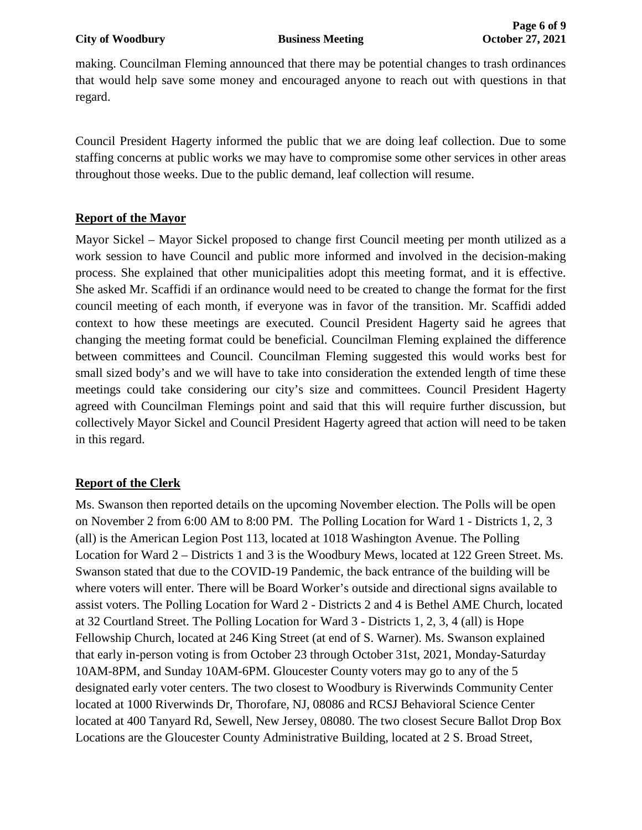making. Councilman Fleming announced that there may be potential changes to trash ordinances that would help save some money and encouraged anyone to reach out with questions in that regard.

Council President Hagerty informed the public that we are doing leaf collection. Due to some staffing concerns at public works we may have to compromise some other services in other areas throughout those weeks. Due to the public demand, leaf collection will resume.

# **Report of the Mayor**

Mayor Sickel – Mayor Sickel proposed to change first Council meeting per month utilized as a work session to have Council and public more informed and involved in the decision-making process. She explained that other municipalities adopt this meeting format, and it is effective. She asked Mr. Scaffidi if an ordinance would need to be created to change the format for the first council meeting of each month, if everyone was in favor of the transition. Mr. Scaffidi added context to how these meetings are executed. Council President Hagerty said he agrees that changing the meeting format could be beneficial. Councilman Fleming explained the difference between committees and Council. Councilman Fleming suggested this would works best for small sized body's and we will have to take into consideration the extended length of time these meetings could take considering our city's size and committees. Council President Hagerty agreed with Councilman Flemings point and said that this will require further discussion, but collectively Mayor Sickel and Council President Hagerty agreed that action will need to be taken in this regard.

# **Report of the Clerk**

Ms. Swanson then reported details on the upcoming November election. The Polls will be open on November 2 from 6:00 AM to 8:00 PM. The Polling Location for Ward 1 - Districts 1, 2, 3 (all) is the American Legion Post 113, located at 1018 Washington Avenue. The Polling Location for Ward 2 – Districts 1 and 3 is the Woodbury Mews, located at 122 Green Street. Ms. Swanson stated that due to the COVID-19 Pandemic, the back entrance of the building will be where voters will enter. There will be Board Worker's outside and directional signs available to assist voters. The Polling Location for Ward 2 - Districts 2 and 4 is Bethel AME Church, located at 32 Courtland Street. The Polling Location for Ward 3 - Districts 1, 2, 3, 4 (all) is Hope Fellowship Church, located at 246 King Street (at end of S. Warner). Ms. Swanson explained that early in-person voting is from October 23 through October 31st, 2021, Monday-Saturday 10AM-8PM, and Sunday 10AM-6PM. Gloucester County voters may go to any of the 5 designated early voter centers. The two closest to Woodbury is Riverwinds Community Center located at 1000 Riverwinds Dr, Thorofare, NJ, 08086 and RCSJ Behavioral Science Center located at 400 Tanyard Rd, Sewell, New Jersey, 08080. The two closest Secure Ballot Drop Box Locations are the Gloucester County Administrative Building, located at 2 S. Broad Street,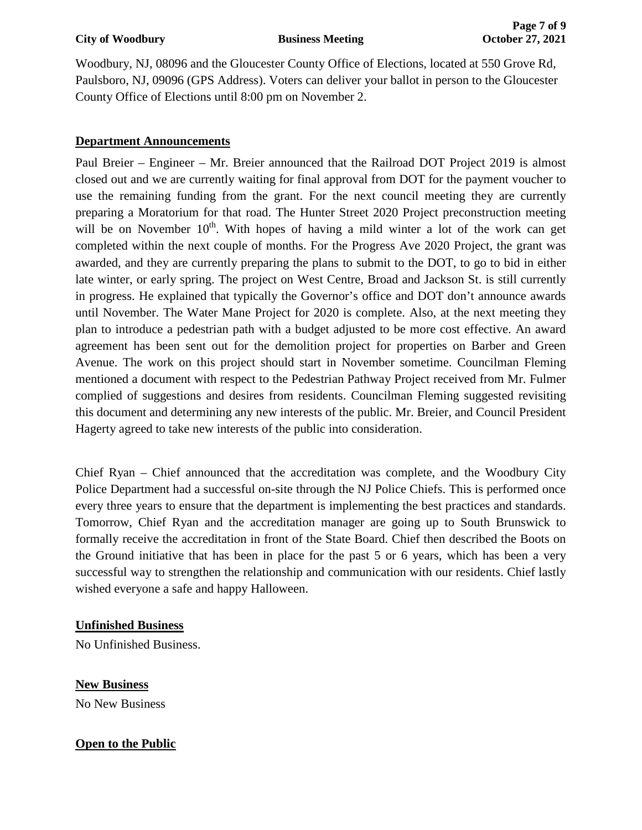Woodbury, NJ, 08096 and the Gloucester County Office of Elections, located at 550 Grove Rd, Paulsboro, NJ, 09096 (GPS Address). Voters can deliver your ballot in person to the Gloucester County Office of Elections until 8:00 pm on November 2.

# **Department Announcements**

Paul Breier – Engineer – Mr. Breier announced that the Railroad DOT Project 2019 is almost closed out and we are currently waiting for final approval from DOT for the payment voucher to use the remaining funding from the grant. For the next council meeting they are currently preparing a Moratorium for that road. The Hunter Street 2020 Project preconstruction meeting will be on November  $10<sup>th</sup>$ . With hopes of having a mild winter a lot of the work can get completed within the next couple of months. For the Progress Ave 2020 Project, the grant was awarded, and they are currently preparing the plans to submit to the DOT, to go to bid in either late winter, or early spring. The project on West Centre, Broad and Jackson St. is still currently in progress. He explained that typically the Governor's office and DOT don't announce awards until November. The Water Mane Project for 2020 is complete. Also, at the next meeting they plan to introduce a pedestrian path with a budget adjusted to be more cost effective. An award agreement has been sent out for the demolition project for properties on Barber and Green Avenue. The work on this project should start in November sometime. Councilman Fleming mentioned a document with respect to the Pedestrian Pathway Project received from Mr. Fulmer complied of suggestions and desires from residents. Councilman Fleming suggested revisiting this document and determining any new interests of the public. Mr. Breier, and Council President Hagerty agreed to take new interests of the public into consideration.

Chief Ryan – Chief announced that the accreditation was complete, and the Woodbury City Police Department had a successful on-site through the NJ Police Chiefs. This is performed once every three years to ensure that the department is implementing the best practices and standards. Tomorrow, Chief Ryan and the accreditation manager are going up to South Brunswick to formally receive the accreditation in front of the State Board. Chief then described the Boots on the Ground initiative that has been in place for the past 5 or 6 years, which has been a very successful way to strengthen the relationship and communication with our residents. Chief lastly wished everyone a safe and happy Halloween.

## **Unfinished Business**

No Unfinished Business.

**New Business** No New Business

# **Open to the Public**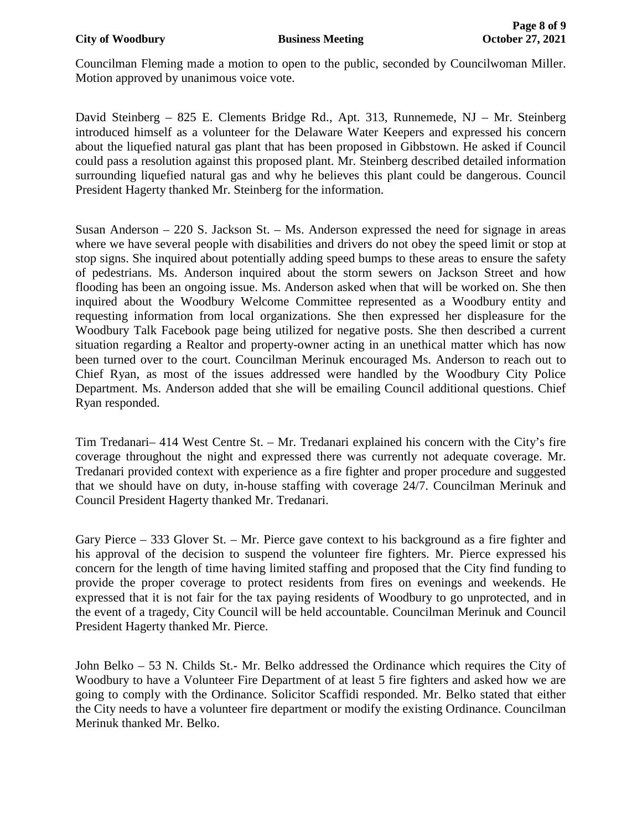Councilman Fleming made a motion to open to the public, seconded by Councilwoman Miller. Motion approved by unanimous voice vote.

David Steinberg – 825 E. Clements Bridge Rd., Apt. 313, Runnemede, NJ – Mr. Steinberg introduced himself as a volunteer for the Delaware Water Keepers and expressed his concern about the liquefied natural gas plant that has been proposed in Gibbstown. He asked if Council could pass a resolution against this proposed plant. Mr. Steinberg described detailed information surrounding liquefied natural gas and why he believes this plant could be dangerous. Council President Hagerty thanked Mr. Steinberg for the information.

Susan Anderson  $-220$  S. Jackson St.  $-$  Ms. Anderson expressed the need for signage in areas where we have several people with disabilities and drivers do not obey the speed limit or stop at stop signs. She inquired about potentially adding speed bumps to these areas to ensure the safety of pedestrians. Ms. Anderson inquired about the storm sewers on Jackson Street and how flooding has been an ongoing issue. Ms. Anderson asked when that will be worked on. She then inquired about the Woodbury Welcome Committee represented as a Woodbury entity and requesting information from local organizations. She then expressed her displeasure for the Woodbury Talk Facebook page being utilized for negative posts. She then described a current situation regarding a Realtor and property-owner acting in an unethical matter which has now been turned over to the court. Councilman Merinuk encouraged Ms. Anderson to reach out to Chief Ryan, as most of the issues addressed were handled by the Woodbury City Police Department. Ms. Anderson added that she will be emailing Council additional questions. Chief Ryan responded.

Tim Tredanari– 414 West Centre St. – Mr. Tredanari explained his concern with the City's fire coverage throughout the night and expressed there was currently not adequate coverage. Mr. Tredanari provided context with experience as a fire fighter and proper procedure and suggested that we should have on duty, in-house staffing with coverage 24/7. Councilman Merinuk and Council President Hagerty thanked Mr. Tredanari.

Gary Pierce – 333 Glover St. – Mr. Pierce gave context to his background as a fire fighter and his approval of the decision to suspend the volunteer fire fighters. Mr. Pierce expressed his concern for the length of time having limited staffing and proposed that the City find funding to provide the proper coverage to protect residents from fires on evenings and weekends. He expressed that it is not fair for the tax paying residents of Woodbury to go unprotected, and in the event of a tragedy, City Council will be held accountable. Councilman Merinuk and Council President Hagerty thanked Mr. Pierce.

John Belko – 53 N. Childs St.- Mr. Belko addressed the Ordinance which requires the City of Woodbury to have a Volunteer Fire Department of at least 5 fire fighters and asked how we are going to comply with the Ordinance. Solicitor Scaffidi responded. Mr. Belko stated that either the City needs to have a volunteer fire department or modify the existing Ordinance. Councilman Merinuk thanked Mr. Belko.